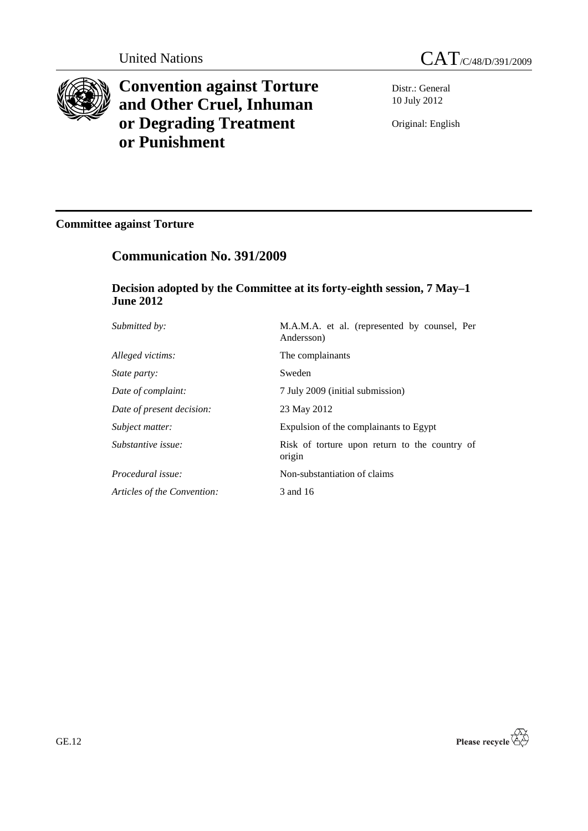

**Convention against Torture and Other Cruel, Inhuman or Degrading Treatment or Punishment**

Distr.: General 10 July 2012

Original: English

# **Committee against Torture**

# **Communication No. 391/2009**

## **Decision adopted by the Committee at its forty-eighth session, 7 May–1 June 2012**

| Submitted by:               | M.A.M.A. et al. (represented by counsel, Per<br>Andersson) |
|-----------------------------|------------------------------------------------------------|
| Alleged victims:            | The complainants                                           |
| <i>State party:</i>         | Sweden                                                     |
| Date of complaint:          | 7 July 2009 (initial submission)                           |
| Date of present decision:   | 23 May 2012                                                |
| Subject matter:             | Expulsion of the complainants to Egypt                     |
| Substantive issue:          | Risk of torture upon return to the country of<br>origin    |
| Procedural issue:           | Non-substantiation of claims                               |
| Articles of the Convention: | 3 and 16                                                   |

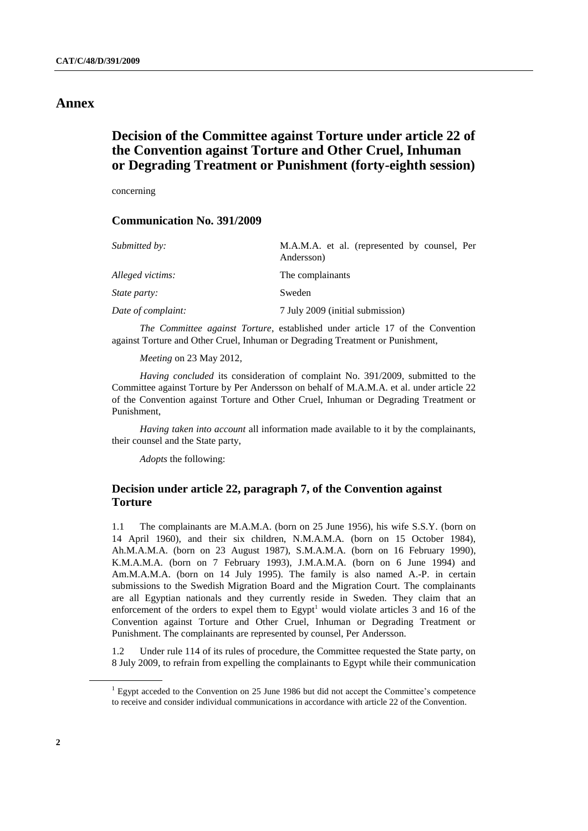### **Annex**

## **Decision of the Committee against Torture under article 22 of the Convention against Torture and Other Cruel, Inhuman or Degrading Treatment or Punishment (forty-eighth session)**

concerning

### **Communication No. 391/2009**

| Submitted by:       | M.A.M.A. et al. (represented by counsel, Per<br>Andersson) |
|---------------------|------------------------------------------------------------|
| Alleged victims:    | The complainants                                           |
| <i>State party:</i> | Sweden                                                     |
| Date of complaint:  | 7 July 2009 (initial submission)                           |

*The Committee against Torture*, established under article 17 of the Convention against Torture and Other Cruel, Inhuman or Degrading Treatment or Punishment,

*Meeting* on 23 May 2012,

*Having concluded* its consideration of complaint No. 391/2009, submitted to the Committee against Torture by Per Andersson on behalf of M.A.M.A. et al. under article 22 of the Convention against Torture and Other Cruel, Inhuman or Degrading Treatment or Punishment,

*Having taken into account* all information made available to it by the complainants, their counsel and the State party,

*Adopts* the following:

### **Decision under article 22, paragraph 7, of the Convention against Torture**

1.1 The complainants are M.A.M.A. (born on 25 June 1956), his wife S.S.Y. (born on 14 April 1960), and their six children, N.M.A.M.A. (born on 15 October 1984), Ah.M.A.M.A. (born on 23 August 1987), S.M.A.M.A. (born on 16 February 1990), K.M.A.M.A. (born on 7 February 1993), J.M.A.M.A. (born on 6 June 1994) and Am.M.A.M.A. (born on 14 July 1995). The family is also named A.-P. in certain submissions to the Swedish Migration Board and the Migration Court. The complainants are all Egyptian nationals and they currently reside in Sweden. They claim that an enforcement of the orders to expel them to Egypt<sup>1</sup> would violate articles  $3$  and  $16$  of the Convention against Torture and Other Cruel, Inhuman or Degrading Treatment or Punishment. The complainants are represented by counsel, Per Andersson.

1.2 Under rule 114 of its rules of procedure, the Committee requested the State party, on 8 July 2009, to refrain from expelling the complainants to Egypt while their communication

<sup>&</sup>lt;sup>1</sup> Egypt acceded to the Convention on 25 June 1986 but did not accept the Committee's competence to receive and consider individual communications in accordance with article 22 of the Convention.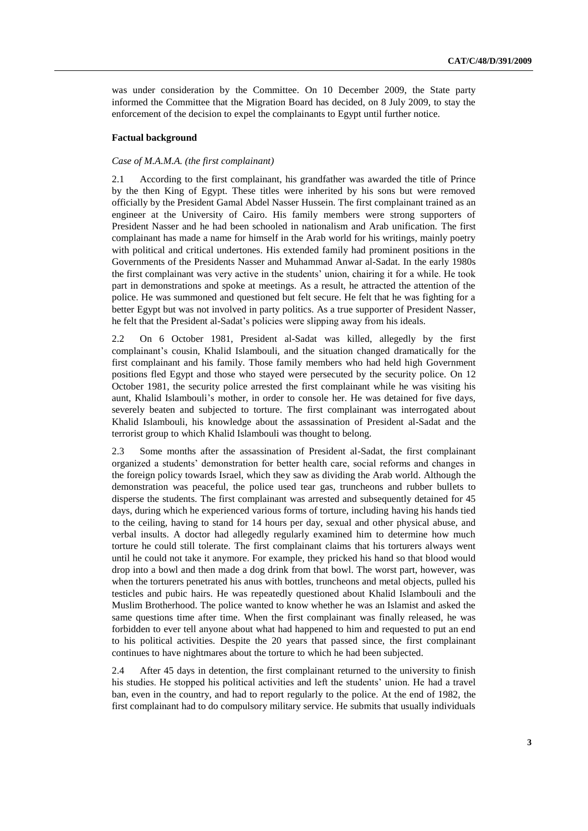was under consideration by the Committee. On 10 December 2009, the State party informed the Committee that the Migration Board has decided, on 8 July 2009, to stay the enforcement of the decision to expel the complainants to Egypt until further notice.

#### **Factual background**

#### *Case of M.A.M.A. (the first complainant)*

2.1 According to the first complainant, his grandfather was awarded the title of Prince by the then King of Egypt. These titles were inherited by his sons but were removed officially by the President Gamal Abdel Nasser Hussein. The first complainant trained as an engineer at the University of Cairo. His family members were strong supporters of President Nasser and he had been schooled in nationalism and Arab unification. The first complainant has made a name for himself in the Arab world for his writings, mainly poetry with political and critical undertones. His extended family had prominent positions in the Governments of the Presidents Nasser and Muhammad Anwar al-Sadat. In the early 1980s the first complainant was very active in the students' union, chairing it for a while. He took part in demonstrations and spoke at meetings. As a result, he attracted the attention of the police. He was summoned and questioned but felt secure. He felt that he was fighting for a better Egypt but was not involved in party politics. As a true supporter of President Nasser, he felt that the President al-Sadat's policies were slipping away from his ideals.

2.2 On 6 October 1981, President al-Sadat was killed, allegedly by the first complainant's cousin, Khalid Islambouli, and the situation changed dramatically for the first complainant and his family. Those family members who had held high Government positions fled Egypt and those who stayed were persecuted by the security police. On 12 October 1981, the security police arrested the first complainant while he was visiting his aunt, Khalid Islambouli's mother, in order to console her. He was detained for five days, severely beaten and subjected to torture. The first complainant was interrogated about Khalid Islambouli, his knowledge about the assassination of President al-Sadat and the terrorist group to which Khalid Islambouli was thought to belong.

2.3 Some months after the assassination of President al-Sadat, the first complainant organized a students' demonstration for better health care, social reforms and changes in the foreign policy towards Israel, which they saw as dividing the Arab world. Although the demonstration was peaceful, the police used tear gas, truncheons and rubber bullets to disperse the students. The first complainant was arrested and subsequently detained for 45 days, during which he experienced various forms of torture, including having his hands tied to the ceiling, having to stand for 14 hours per day, sexual and other physical abuse, and verbal insults. A doctor had allegedly regularly examined him to determine how much torture he could still tolerate. The first complainant claims that his torturers always went until he could not take it anymore. For example, they pricked his hand so that blood would drop into a bowl and then made a dog drink from that bowl. The worst part, however, was when the torturers penetrated his anus with bottles, truncheons and metal objects, pulled his testicles and pubic hairs. He was repeatedly questioned about Khalid Islambouli and the Muslim Brotherhood. The police wanted to know whether he was an Islamist and asked the same questions time after time. When the first complainant was finally released, he was forbidden to ever tell anyone about what had happened to him and requested to put an end to his political activities. Despite the 20 years that passed since, the first complainant continues to have nightmares about the torture to which he had been subjected.

2.4 After 45 days in detention, the first complainant returned to the university to finish his studies. He stopped his political activities and left the students' union. He had a travel ban, even in the country, and had to report regularly to the police. At the end of 1982, the first complainant had to do compulsory military service. He submits that usually individuals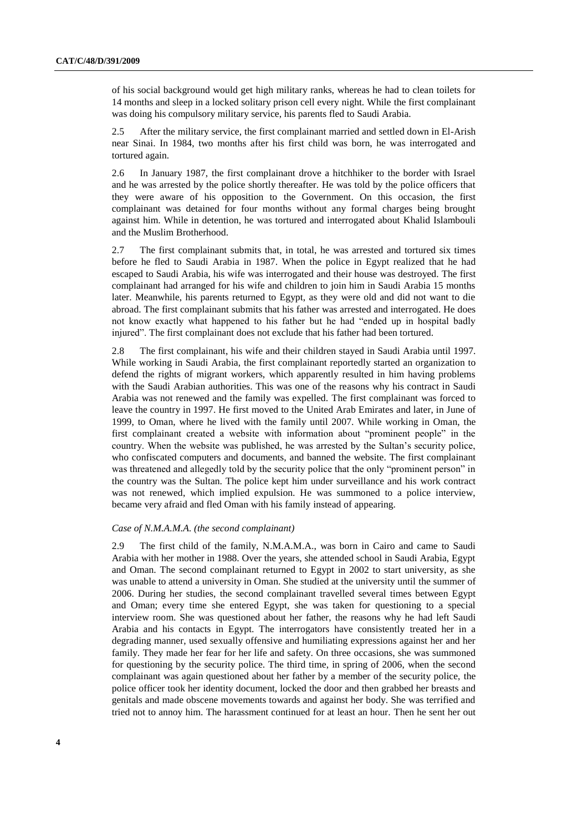of his social background would get high military ranks, whereas he had to clean toilets for 14 months and sleep in a locked solitary prison cell every night. While the first complainant was doing his compulsory military service, his parents fled to Saudi Arabia.

2.5 After the military service, the first complainant married and settled down in El-Arish near Sinai. In 1984, two months after his first child was born, he was interrogated and tortured again.

2.6 In January 1987, the first complainant drove a hitchhiker to the border with Israel and he was arrested by the police shortly thereafter. He was told by the police officers that they were aware of his opposition to the Government. On this occasion, the first complainant was detained for four months without any formal charges being brought against him. While in detention, he was tortured and interrogated about Khalid Islambouli and the Muslim Brotherhood.

2.7 The first complainant submits that, in total, he was arrested and tortured six times before he fled to Saudi Arabia in 1987. When the police in Egypt realized that he had escaped to Saudi Arabia, his wife was interrogated and their house was destroyed. The first complainant had arranged for his wife and children to join him in Saudi Arabia 15 months later. Meanwhile, his parents returned to Egypt, as they were old and did not want to die abroad. The first complainant submits that his father was arrested and interrogated. He does not know exactly what happened to his father but he had "ended up in hospital badly injured". The first complainant does not exclude that his father had been tortured.

2.8 The first complainant, his wife and their children stayed in Saudi Arabia until 1997. While working in Saudi Arabia, the first complainant reportedly started an organization to defend the rights of migrant workers, which apparently resulted in him having problems with the Saudi Arabian authorities. This was one of the reasons why his contract in Saudi Arabia was not renewed and the family was expelled. The first complainant was forced to leave the country in 1997. He first moved to the United Arab Emirates and later, in June of 1999, to Oman, where he lived with the family until 2007. While working in Oman, the first complainant created a website with information about "prominent people" in the country. When the website was published, he was arrested by the Sultan's security police, who confiscated computers and documents, and banned the website. The first complainant was threatened and allegedly told by the security police that the only "prominent person" in the country was the Sultan. The police kept him under surveillance and his work contract was not renewed, which implied expulsion. He was summoned to a police interview, became very afraid and fled Oman with his family instead of appearing.

#### *Case of N.M.A.M.A. (the second complainant)*

2.9 The first child of the family, N.M.A.M.A., was born in Cairo and came to Saudi Arabia with her mother in 1988. Over the years, she attended school in Saudi Arabia, Egypt and Oman. The second complainant returned to Egypt in 2002 to start university, as she was unable to attend a university in Oman. She studied at the university until the summer of 2006. During her studies, the second complainant travelled several times between Egypt and Oman; every time she entered Egypt, she was taken for questioning to a special interview room. She was questioned about her father, the reasons why he had left Saudi Arabia and his contacts in Egypt. The interrogators have consistently treated her in a degrading manner, used sexually offensive and humiliating expressions against her and her family. They made her fear for her life and safety. On three occasions, she was summoned for questioning by the security police. The third time, in spring of 2006, when the second complainant was again questioned about her father by a member of the security police, the police officer took her identity document, locked the door and then grabbed her breasts and genitals and made obscene movements towards and against her body. She was terrified and tried not to annoy him. The harassment continued for at least an hour. Then he sent her out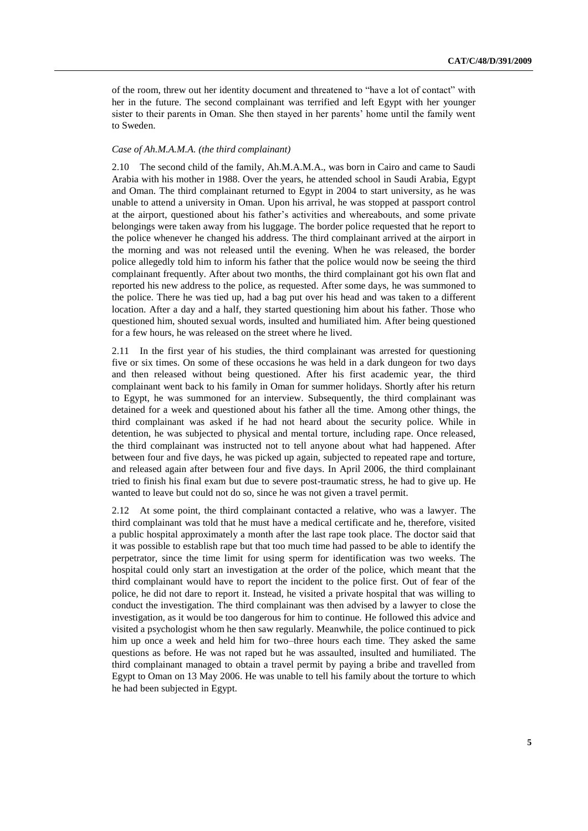of the room, threw out her identity document and threatened to "have a lot of contact" with her in the future. The second complainant was terrified and left Egypt with her younger sister to their parents in Oman. She then stayed in her parents' home until the family went to Sweden.

#### *Case of Ah.M.A.M.A. (the third complainant)*

2.10 The second child of the family, Ah.M.A.M.A., was born in Cairo and came to Saudi Arabia with his mother in 1988. Over the years, he attended school in Saudi Arabia, Egypt and Oman. The third complainant returned to Egypt in 2004 to start university, as he was unable to attend a university in Oman. Upon his arrival, he was stopped at passport control at the airport, questioned about his father's activities and whereabouts, and some private belongings were taken away from his luggage. The border police requested that he report to the police whenever he changed his address. The third complainant arrived at the airport in the morning and was not released until the evening. When he was released, the border police allegedly told him to inform his father that the police would now be seeing the third complainant frequently. After about two months, the third complainant got his own flat and reported his new address to the police, as requested. After some days, he was summoned to the police. There he was tied up, had a bag put over his head and was taken to a different location. After a day and a half, they started questioning him about his father. Those who questioned him, shouted sexual words, insulted and humiliated him. After being questioned for a few hours, he was released on the street where he lived.

2.11 In the first year of his studies, the third complainant was arrested for questioning five or six times. On some of these occasions he was held in a dark dungeon for two days and then released without being questioned. After his first academic year, the third complainant went back to his family in Oman for summer holidays. Shortly after his return to Egypt, he was summoned for an interview. Subsequently, the third complainant was detained for a week and questioned about his father all the time. Among other things, the third complainant was asked if he had not heard about the security police. While in detention, he was subjected to physical and mental torture, including rape. Once released, the third complainant was instructed not to tell anyone about what had happened. After between four and five days, he was picked up again, subjected to repeated rape and torture, and released again after between four and five days. In April 2006, the third complainant tried to finish his final exam but due to severe post-traumatic stress, he had to give up. He wanted to leave but could not do so, since he was not given a travel permit.

2.12 At some point, the third complainant contacted a relative, who was a lawyer. The third complainant was told that he must have a medical certificate and he, therefore, visited a public hospital approximately a month after the last rape took place. The doctor said that it was possible to establish rape but that too much time had passed to be able to identify the perpetrator, since the time limit for using sperm for identification was two weeks. The hospital could only start an investigation at the order of the police, which meant that the third complainant would have to report the incident to the police first. Out of fear of the police, he did not dare to report it. Instead, he visited a private hospital that was willing to conduct the investigation. The third complainant was then advised by a lawyer to close the investigation, as it would be too dangerous for him to continue. He followed this advice and visited a psychologist whom he then saw regularly. Meanwhile, the police continued to pick him up once a week and held him for two–three hours each time. They asked the same questions as before. He was not raped but he was assaulted, insulted and humiliated. The third complainant managed to obtain a travel permit by paying a bribe and travelled from Egypt to Oman on 13 May 2006. He was unable to tell his family about the torture to which he had been subjected in Egypt.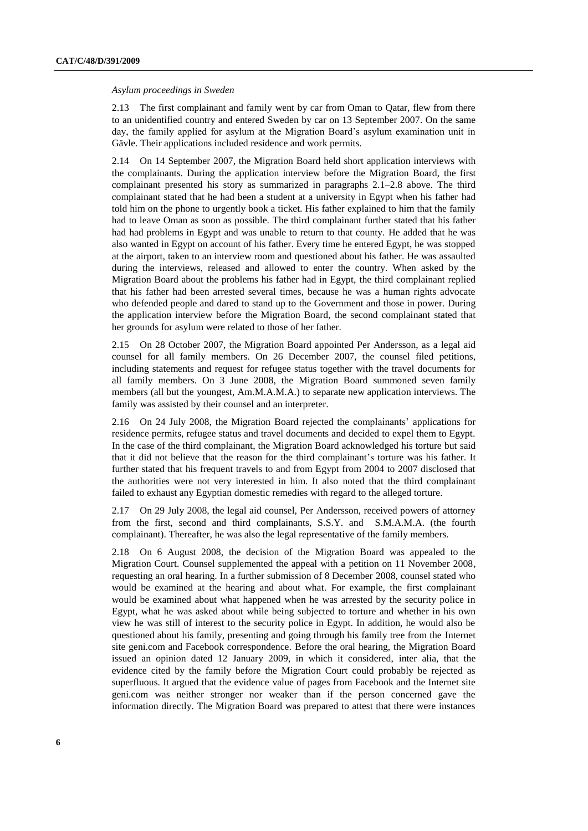#### *Asylum proceedings in Sweden*

2.13 The first complainant and family went by car from Oman to Qatar, flew from there to an unidentified country and entered Sweden by car on 13 September 2007. On the same day, the family applied for asylum at the Migration Board's asylum examination unit in Gävle. Their applications included residence and work permits.

2.14 On 14 September 2007, the Migration Board held short application interviews with the complainants. During the application interview before the Migration Board, the first complainant presented his story as summarized in paragraphs 2.1–2.8 above. The third complainant stated that he had been a student at a university in Egypt when his father had told him on the phone to urgently book a ticket. His father explained to him that the family had to leave Oman as soon as possible. The third complainant further stated that his father had had problems in Egypt and was unable to return to that county. He added that he was also wanted in Egypt on account of his father. Every time he entered Egypt, he was stopped at the airport, taken to an interview room and questioned about his father. He was assaulted during the interviews, released and allowed to enter the country. When asked by the Migration Board about the problems his father had in Egypt, the third complainant replied that his father had been arrested several times, because he was a human rights advocate who defended people and dared to stand up to the Government and those in power. During the application interview before the Migration Board, the second complainant stated that her grounds for asylum were related to those of her father.

2.15 On 28 October 2007, the Migration Board appointed Per Andersson, as a legal aid counsel for all family members. On 26 December 2007, the counsel filed petitions, including statements and request for refugee status together with the travel documents for all family members. On 3 June 2008, the Migration Board summoned seven family members (all but the youngest, Am.M.A.M.A.) to separate new application interviews. The family was assisted by their counsel and an interpreter.

2.16 On 24 July 2008, the Migration Board rejected the complainants' applications for residence permits, refugee status and travel documents and decided to expel them to Egypt. In the case of the third complainant, the Migration Board acknowledged his torture but said that it did not believe that the reason for the third complainant's torture was his father. It further stated that his frequent travels to and from Egypt from 2004 to 2007 disclosed that the authorities were not very interested in him. It also noted that the third complainant failed to exhaust any Egyptian domestic remedies with regard to the alleged torture.

2.17 On 29 July 2008, the legal aid counsel, Per Andersson, received powers of attorney from the first, second and third complainants, S.S.Y. and S.M.A.M.A. (the fourth complainant). Thereafter, he was also the legal representative of the family members.

2.18 On 6 August 2008, the decision of the Migration Board was appealed to the Migration Court. Counsel supplemented the appeal with a petition on 11 November 2008, requesting an oral hearing. In a further submission of 8 December 2008, counsel stated who would be examined at the hearing and about what. For example, the first complainant would be examined about what happened when he was arrested by the security police in Egypt, what he was asked about while being subjected to torture and whether in his own view he was still of interest to the security police in Egypt. In addition, he would also be questioned about his family, presenting and going through his family tree from the Internet site geni.com and Facebook correspondence. Before the oral hearing, the Migration Board issued an opinion dated 12 January 2009, in which it considered, inter alia, that the evidence cited by the family before the Migration Court could probably be rejected as superfluous. It argued that the evidence value of pages from Facebook and the Internet site geni.com was neither stronger nor weaker than if the person concerned gave the information directly. The Migration Board was prepared to attest that there were instances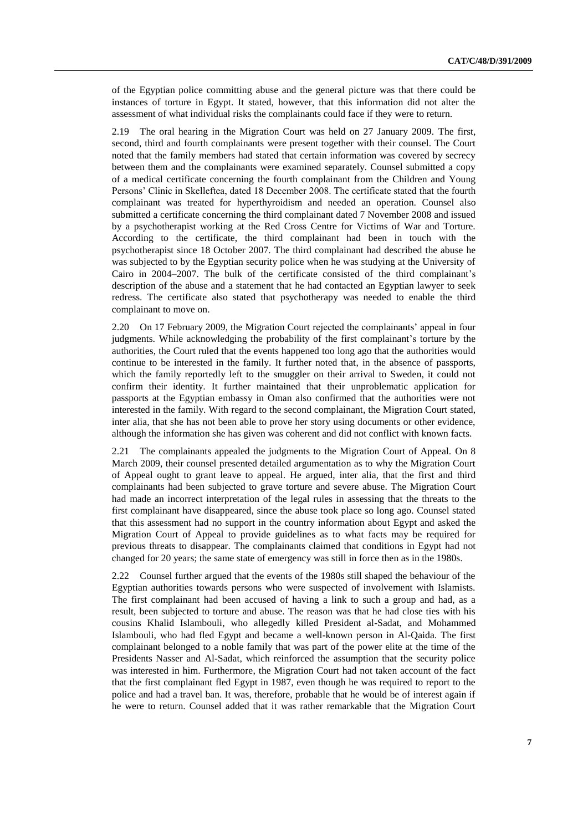of the Egyptian police committing abuse and the general picture was that there could be instances of torture in Egypt. It stated, however, that this information did not alter the assessment of what individual risks the complainants could face if they were to return.

2.19 The oral hearing in the Migration Court was held on 27 January 2009. The first, second, third and fourth complainants were present together with their counsel. The Court noted that the family members had stated that certain information was covered by secrecy between them and the complainants were examined separately. Counsel submitted a copy of a medical certificate concerning the fourth complainant from the Children and Young Persons' Clinic in Skelleftea, dated 18 December 2008. The certificate stated that the fourth complainant was treated for hyperthyroidism and needed an operation. Counsel also submitted a certificate concerning the third complainant dated 7 November 2008 and issued by a psychotherapist working at the Red Cross Centre for Victims of War and Torture. According to the certificate, the third complainant had been in touch with the psychotherapist since 18 October 2007. The third complainant had described the abuse he was subjected to by the Egyptian security police when he was studying at the University of Cairo in 2004–2007. The bulk of the certificate consisted of the third complainant's description of the abuse and a statement that he had contacted an Egyptian lawyer to seek redress. The certificate also stated that psychotherapy was needed to enable the third complainant to move on.

2.20 On 17 February 2009, the Migration Court rejected the complainants' appeal in four judgments. While acknowledging the probability of the first complainant's torture by the authorities, the Court ruled that the events happened too long ago that the authorities would continue to be interested in the family. It further noted that, in the absence of passports, which the family reportedly left to the smuggler on their arrival to Sweden, it could not confirm their identity. It further maintained that their unproblematic application for passports at the Egyptian embassy in Oman also confirmed that the authorities were not interested in the family. With regard to the second complainant, the Migration Court stated, inter alia, that she has not been able to prove her story using documents or other evidence, although the information she has given was coherent and did not conflict with known facts.

2.21 The complainants appealed the judgments to the Migration Court of Appeal. On 8 March 2009, their counsel presented detailed argumentation as to why the Migration Court of Appeal ought to grant leave to appeal. He argued, inter alia, that the first and third complainants had been subjected to grave torture and severe abuse. The Migration Court had made an incorrect interpretation of the legal rules in assessing that the threats to the first complainant have disappeared, since the abuse took place so long ago. Counsel stated that this assessment had no support in the country information about Egypt and asked the Migration Court of Appeal to provide guidelines as to what facts may be required for previous threats to disappear. The complainants claimed that conditions in Egypt had not changed for 20 years; the same state of emergency was still in force then as in the 1980s.

2.22 Counsel further argued that the events of the 1980s still shaped the behaviour of the Egyptian authorities towards persons who were suspected of involvement with Islamists. The first complainant had been accused of having a link to such a group and had, as a result, been subjected to torture and abuse. The reason was that he had close ties with his cousins Khalid Islambouli, who allegedly killed President al-Sadat, and Mohammed Islambouli, who had fled Egypt and became a well-known person in Al-Qaida. The first complainant belonged to a noble family that was part of the power elite at the time of the Presidents Nasser and Al-Sadat, which reinforced the assumption that the security police was interested in him. Furthermore, the Migration Court had not taken account of the fact that the first complainant fled Egypt in 1987, even though he was required to report to the police and had a travel ban. It was, therefore, probable that he would be of interest again if he were to return. Counsel added that it was rather remarkable that the Migration Court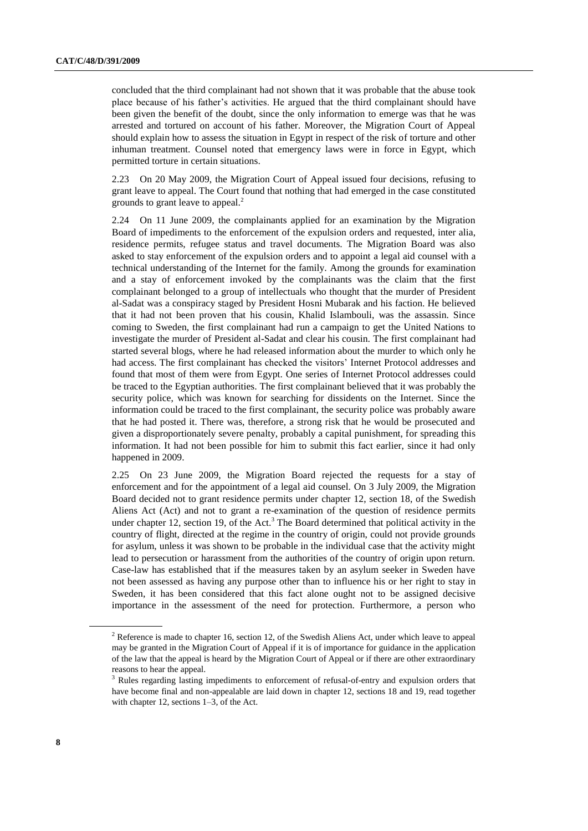concluded that the third complainant had not shown that it was probable that the abuse took place because of his father's activities. He argued that the third complainant should have been given the benefit of the doubt, since the only information to emerge was that he was arrested and tortured on account of his father. Moreover, the Migration Court of Appeal should explain how to assess the situation in Egypt in respect of the risk of torture and other inhuman treatment. Counsel noted that emergency laws were in force in Egypt, which permitted torture in certain situations.

2.23 On 20 May 2009, the Migration Court of Appeal issued four decisions, refusing to grant leave to appeal. The Court found that nothing that had emerged in the case constituted grounds to grant leave to appeal. $<sup>2</sup>$ </sup>

2.24 On 11 June 2009, the complainants applied for an examination by the Migration Board of impediments to the enforcement of the expulsion orders and requested, inter alia, residence permits, refugee status and travel documents. The Migration Board was also asked to stay enforcement of the expulsion orders and to appoint a legal aid counsel with a technical understanding of the Internet for the family. Among the grounds for examination and a stay of enforcement invoked by the complainants was the claim that the first complainant belonged to a group of intellectuals who thought that the murder of President al-Sadat was a conspiracy staged by President Hosni Mubarak and his faction. He believed that it had not been proven that his cousin, Khalid Islambouli, was the assassin. Since coming to Sweden, the first complainant had run a campaign to get the United Nations to investigate the murder of President al-Sadat and clear his cousin. The first complainant had started several blogs, where he had released information about the murder to which only he had access. The first complainant has checked the visitors' Internet Protocol addresses and found that most of them were from Egypt. One series of Internet Protocol addresses could be traced to the Egyptian authorities. The first complainant believed that it was probably the security police, which was known for searching for dissidents on the Internet. Since the information could be traced to the first complainant, the security police was probably aware that he had posted it. There was, therefore, a strong risk that he would be prosecuted and given a disproportionately severe penalty, probably a capital punishment, for spreading this information. It had not been possible for him to submit this fact earlier, since it had only happened in 2009.

<span id="page-7-0"></span>2.25 On 23 June 2009, the Migration Board rejected the requests for a stay of enforcement and for the appointment of a legal aid counsel. On 3 July 2009, the Migration Board decided not to grant residence permits under chapter 12, section 18, of the Swedish Aliens Act (Act) and not to grant a re-examination of the question of residence permits under chapter 12, section 19, of the Act.<sup>3</sup> The Board determined that political activity in the country of flight, directed at the regime in the country of origin, could not provide grounds for asylum, unless it was shown to be probable in the individual case that the activity might lead to persecution or harassment from the authorities of the country of origin upon return. Case-law has established that if the measures taken by an asylum seeker in Sweden have not been assessed as having any purpose other than to influence his or her right to stay in Sweden, it has been considered that this fact alone ought not to be assigned decisive importance in the assessment of the need for protection. Furthermore, a person who

<sup>&</sup>lt;sup>2</sup> Reference is made to chapter 16, section 12, of the Swedish Aliens Act, under which leave to appeal may be granted in the Migration Court of Appeal if it is of importance for guidance in the application of the law that the appeal is heard by the Migration Court of Appeal or if there are other extraordinary reasons to hear the appeal.

<sup>3</sup> Rules regarding lasting impediments to enforcement of refusal-of-entry and expulsion orders that have become final and non-appealable are laid down in chapter 12, sections 18 and 19, read together with chapter 12, sections 1–3, of the Act.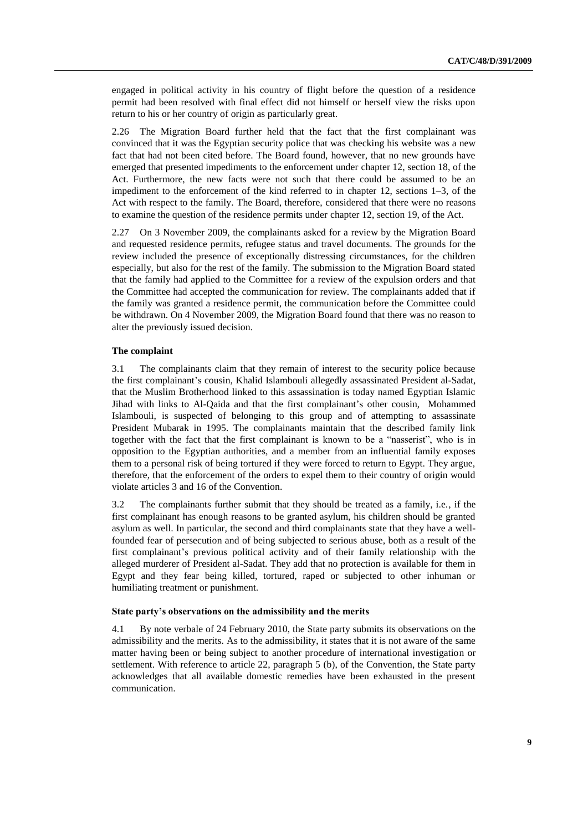engaged in political activity in his country of flight before the question of a residence permit had been resolved with final effect did not himself or herself view the risks upon return to his or her country of origin as particularly great.

2.26 The Migration Board further held that the fact that the first complainant was convinced that it was the Egyptian security police that was checking his website was a new fact that had not been cited before. The Board found, however, that no new grounds have emerged that presented impediments to the enforcement under chapter 12, section 18, of the Act. Furthermore, the new facts were not such that there could be assumed to be an impediment to the enforcement of the kind referred to in chapter 12, sections 1–3, of the Act with respect to the family. The Board, therefore, considered that there were no reasons to examine the question of the residence permits under chapter 12, section 19, of the Act.

2.27 On 3 November 2009, the complainants asked for a review by the Migration Board and requested residence permits, refugee status and travel documents. The grounds for the review included the presence of exceptionally distressing circumstances, for the children especially, but also for the rest of the family. The submission to the Migration Board stated that the family had applied to the Committee for a review of the expulsion orders and that the Committee had accepted the communication for review. The complainants added that if the family was granted a residence permit, the communication before the Committee could be withdrawn. On 4 November 2009, the Migration Board found that there was no reason to alter the previously issued decision.

#### **The complaint**

3.1 The complainants claim that they remain of interest to the security police because the first complainant's cousin, Khalid Islambouli allegedly assassinated President al-Sadat, that the Muslim Brotherhood linked to this assassination is today named Egyptian Islamic Jihad with links to Al-Qaida and that the first complainant's other cousin, Mohammed Islambouli, is suspected of belonging to this group and of attempting to assassinate President Mubarak in 1995. The complainants maintain that the described family link together with the fact that the first complainant is known to be a "nasserist", who is in opposition to the Egyptian authorities, and a member from an influential family exposes them to a personal risk of being tortured if they were forced to return to Egypt. They argue, therefore, that the enforcement of the orders to expel them to their country of origin would violate articles 3 and 16 of the Convention.

3.2 The complainants further submit that they should be treated as a family, i.e., if the first complainant has enough reasons to be granted asylum, his children should be granted asylum as well. In particular, the second and third complainants state that they have a wellfounded fear of persecution and of being subjected to serious abuse, both as a result of the first complainant's previous political activity and of their family relationship with the alleged murderer of President al-Sadat. They add that no protection is available for them in Egypt and they fear being killed, tortured, raped or subjected to other inhuman or humiliating treatment or punishment.

#### **State party's observations on the admissibility and the merits**

4.1 By note verbale of 24 February 2010, the State party submits its observations on the admissibility and the merits. As to the admissibility, it states that it is not aware of the same matter having been or being subject to another procedure of international investigation or settlement. With reference to article 22, paragraph 5 (b), of the Convention, the State party acknowledges that all available domestic remedies have been exhausted in the present communication.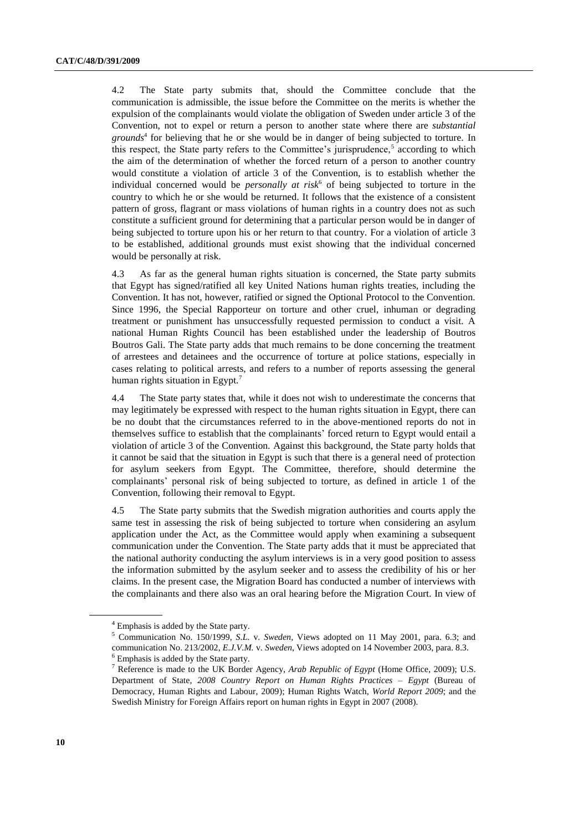4.2 The State party submits that, should the Committee conclude that the communication is admissible, the issue before the Committee on the merits is whether the expulsion of the complainants would violate the obligation of Sweden under article 3 of the Convention, not to expel or return a person to another state where there are *substantial grounds*<sup>4</sup> for believing that he or she would be in danger of being subjected to torture. In this respect, the State party refers to the Committee's jurisprudence,<sup>5</sup> according to which the aim of the determination of whether the forced return of a person to another country would constitute a violation of article 3 of the Convention, is to establish whether the individual concerned would be *personally at risk*<sup>6</sup> of being subjected to torture in the country to which he or she would be returned. It follows that the existence of a consistent pattern of gross, flagrant or mass violations of human rights in a country does not as such constitute a sufficient ground for determining that a particular person would be in danger of being subjected to torture upon his or her return to that country. For a violation of article 3 to be established, additional grounds must exist showing that the individual concerned would be personally at risk.

4.3 As far as the general human rights situation is concerned, the State party submits that Egypt has signed/ratified all key United Nations human rights treaties, including the Convention. It has not, however, ratified or signed the Optional Protocol to the Convention. Since 1996, the Special Rapporteur on [torture](http://www.ohchr.org/EN/Issues/Torture/SRTorture/Pages/SRTortureIndex.aspx) and other cruel, inhuman or degrading treatment or punishment has unsuccessfully requested permission to conduct a visit. A national Human Rights Council has been established under the leadership of Boutros Boutros Gali. The State party adds that much remains to be done concerning the treatment of arrestees and detainees and the occurrence of torture at police stations, especially in cases relating to political arrests, and refers to a number of reports assessing the general human rights situation in Egypt.<sup>7</sup>

4.4 The State party states that, while it does not wish to underestimate the concerns that may legitimately be expressed with respect to the human rights situation in Egypt, there can be no doubt that the circumstances referred to in the above-mentioned reports do not in themselves suffice to establish that the complainants' forced return to Egypt would entail a violation of article 3 of the Convention. Against this background, the State party holds that it cannot be said that the situation in Egypt is such that there is a general need of protection for asylum seekers from Egypt. The Committee, therefore, should determine the complainants' personal risk of being subjected to torture, as defined in article 1 of the Convention, following their removal to Egypt.

4.5 The State party submits that the Swedish migration authorities and courts apply the same test in assessing the risk of being subjected to torture when considering an asylum application under the Act, as the Committee would apply when examining a subsequent communication under the Convention. The State party adds that it must be appreciated that the national authority conducting the asylum interviews is in a very good position to assess the information submitted by the asylum seeker and to assess the credibility of his or her claims. In the present case, the Migration Board has conducted a number of interviews with the complainants and there also was an oral hearing before the Migration Court. In view of

<sup>4</sup> Emphasis is added by the State party.

<sup>5</sup> Communication No. 150/1999, *S.L.* v. *Sweden*, Views adopted on 11 May 2001, para. 6.3; and communication No. 213/2002, *E.J.V.M.* v. *Sweden*, Views adopted on 14 November 2003, para. 8.3. <sup>6</sup> Emphasis is added by the State party.

<sup>7</sup> Reference is made to the UK Border Agency, *Arab Republic of Egypt* (Home Office, 2009); U.S. Department of State, *2008 Country Report on Human Rights Practices – Egypt* (Bureau of Democracy, Human Rights and Labour, 2009); Human Rights Watch, *World Report 2009*; and the Swedish Ministry for Foreign Affairs report on human rights in Egypt in 2007 (2008).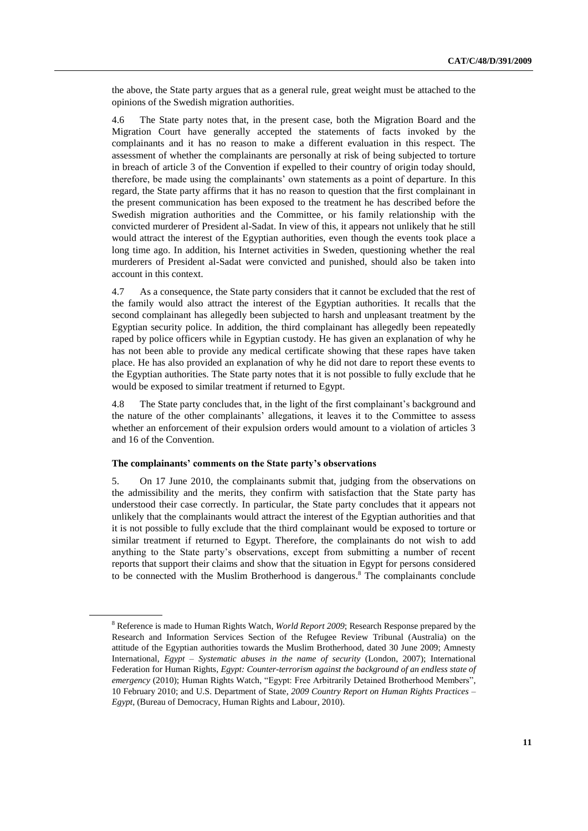the above, the State party argues that as a general rule, great weight must be attached to the opinions of the Swedish migration authorities.

4.6 The State party notes that, in the present case, both the Migration Board and the Migration Court have generally accepted the statements of facts invoked by the complainants and it has no reason to make a different evaluation in this respect. The assessment of whether the complainants are personally at risk of being subjected to torture in breach of article 3 of the Convention if expelled to their country of origin today should, therefore, be made using the complainants' own statements as a point of departure. In this regard, the State party affirms that it has no reason to question that the first complainant in the present communication has been exposed to the treatment he has described before the Swedish migration authorities and the Committee, or his family relationship with the convicted murderer of President al-Sadat. In view of this, it appears not unlikely that he still would attract the interest of the Egyptian authorities, even though the events took place a long time ago. In addition, his Internet activities in Sweden, questioning whether the real murderers of President al-Sadat were convicted and punished, should also be taken into account in this context.

4.7 As a consequence, the State party considers that it cannot be excluded that the rest of the family would also attract the interest of the Egyptian authorities. It recalls that the second complainant has allegedly been subjected to harsh and unpleasant treatment by the Egyptian security police. In addition, the third complainant has allegedly been repeatedly raped by police officers while in Egyptian custody. He has given an explanation of why he has not been able to provide any medical certificate showing that these rapes have taken place. He has also provided an explanation of why he did not dare to report these events to the Egyptian authorities. The State party notes that it is not possible to fully exclude that he would be exposed to similar treatment if returned to Egypt.

4.8 The State party concludes that, in the light of the first complainant's background and the nature of the other complainants' allegations, it leaves it to the Committee to assess whether an enforcement of their expulsion orders would amount to a violation of articles 3 and 16 of the Convention.

#### **The complainants' comments on the State party's observations**

5. On 17 June 2010, the complainants submit that, judging from the observations on the admissibility and the merits, they confirm with satisfaction that the State party has understood their case correctly. In particular, the State party concludes that it appears not unlikely that the complainants would attract the interest of the Egyptian authorities and that it is not possible to fully exclude that the third complainant would be exposed to torture or similar treatment if returned to Egypt. Therefore, the complainants do not wish to add anything to the State party's observations, except from submitting a number of recent reports that support their claims and show that the situation in Egypt for persons considered to be connected with the Muslim Brotherhood is dangerous. <sup>8</sup> The complainants conclude

<sup>8</sup> Reference is made to Human Rights Watch, *World Report 2009*; Research Response prepared by the Research and Information Services Section of the Refugee Review Tribunal (Australia) on the attitude of the Egyptian authorities towards the Muslim Brotherhood, dated 30 June 2009; Amnesty International, *Egypt – Systematic abuses in the name of security* (London, 2007); International Federation for Human Rights, *Egypt: Counter-terrorism against the background of an endless state of emergency* (2010); Human Rights Watch, "Egypt: Free Arbitrarily Detained Brotherhood Members", 10 February 2010; and U.S. Department of State, *2009 Country Report on Human Rights Practices – Egypt*, (Bureau of Democracy, Human Rights and Labour, 2010).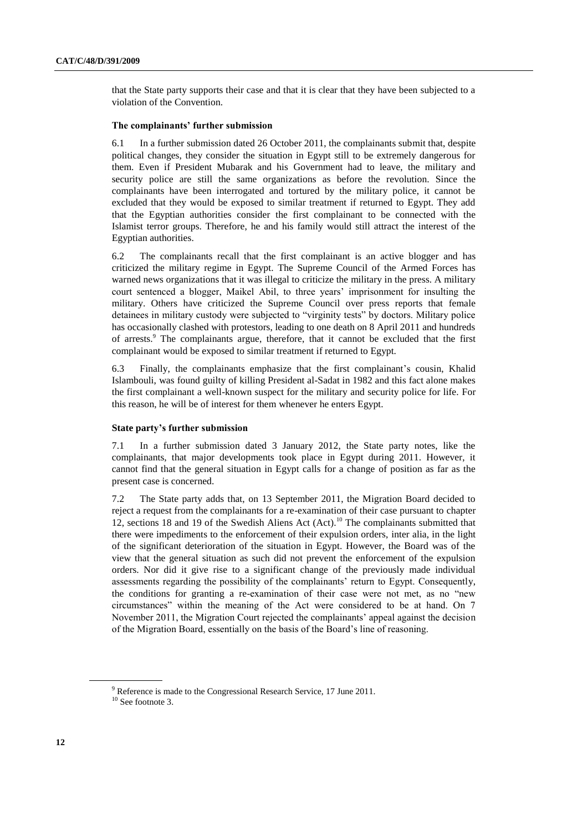that the State party supports their case and that it is clear that they have been subjected to a violation of the Convention.

#### **The complainants' further submission**

6.1 In a further submission dated 26 October 2011, the complainants submit that, despite political changes, they consider the situation in Egypt still to be extremely dangerous for them. Even if President Mubarak and his Government had to leave, the military and security police are still the same organizations as before the revolution. Since the complainants have been interrogated and tortured by the military police, it cannot be excluded that they would be exposed to similar treatment if returned to Egypt. They add that the Egyptian authorities consider the first complainant to be connected with the Islamist terror groups. Therefore, he and his family would still attract the interest of the Egyptian authorities.

6.2 The complainants recall that the first complainant is an active blogger and has criticized the military regime in Egypt. The Supreme Council of the Armed Forces has warned news organizations that it was illegal to criticize the military in the press. A military court sentenced a blogger, Maikel Abil, to three years' imprisonment for insulting the military. Others have criticized the Supreme Council over press reports that female detainees in military custody were subjected to "virginity tests" by doctors. Military police has occasionally clashed with protestors, leading to one death on 8 April 2011 and hundreds of arrests.<sup>9</sup> The complainants argue, therefore, that it cannot be excluded that the first complainant would be exposed to similar treatment if returned to Egypt.

6.3 Finally, the complainants emphasize that the first complainant's cousin, Khalid Islambouli, was found guilty of killing President al-Sadat in 1982 and this fact alone makes the first complainant a well-known suspect for the military and security police for life. For this reason, he will be of interest for them whenever he enters Egypt.

#### **State party's further submission**

7.1 In a further submission dated 3 January 2012, the State party notes, like the complainants, that major developments took place in Egypt during 2011. However, it cannot find that the general situation in Egypt calls for a change of position as far as the present case is concerned.

7.2 The State party adds that, on 13 September 2011, the Migration Board decided to reject a request from the complainants for a re-examination of their case pursuant to chapter 12, sections 18 and 19 of the Swedish Aliens Act (Act).<sup>10</sup> The complainants submitted that there were impediments to the enforcement of their expulsion orders, inter alia, in the light of the significant deterioration of the situation in Egypt. However, the Board was of the view that the general situation as such did not prevent the enforcement of the expulsion orders. Nor did it give rise to a significant change of the previously made individual assessments regarding the possibility of the complainants' return to Egypt. Consequently, the conditions for granting a re-examination of their case were not met, as no "new circumstances" within the meaning of the Act were considered to be at hand. On 7 November 2011, the Migration Court rejected the complainants' appeal against the decision of the Migration Board, essentially on the basis of the Board's line of reasoning.

<sup>&</sup>lt;sup>9</sup> Reference is made to the Congressional Research Service, 17 June 2011.

 $10$  See footnote [3.](#page-7-0)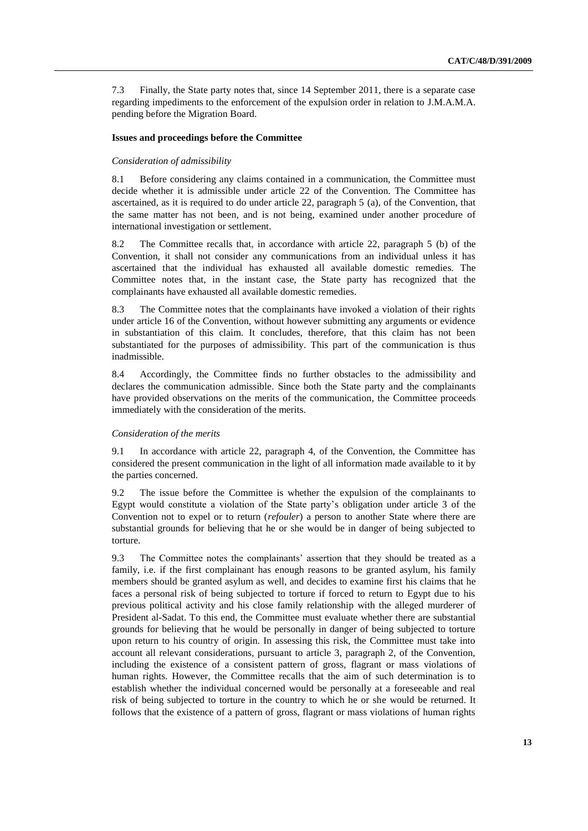7.3 Finally, the State party notes that, since 14 September 2011, there is a separate case regarding impediments to the enforcement of the expulsion order in relation to J.M.A.M.A. pending before the Migration Board.

#### **Issues and proceedings before the Committee**

#### *Consideration of admissibility*

8.1 Before considering any claims contained in a communication, the Committee must decide whether it is admissible under article 22 of the Convention. The Committee has ascertained, as it is required to do under article 22, paragraph 5 (a), of the Convention, that the same matter has not been, and is not being, examined under another procedure of international investigation or settlement.

8.2 The Committee recalls that, in accordance with article 22, paragraph 5 (b) of the Convention, it shall not consider any communications from an individual unless it has ascertained that the individual has exhausted all available domestic remedies. The Committee notes that, in the instant case, the State party has recognized that the complainants have exhausted all available domestic remedies.

8.3 The Committee notes that the complainants have invoked a violation of their rights under article 16 of the Convention, without however submitting any arguments or evidence in substantiation of this claim. It concludes, therefore, that this claim has not been substantiated for the purposes of admissibility. This part of the communication is thus inadmissible.

8.4 Accordingly, the Committee finds no further obstacles to the admissibility and declares the communication admissible. Since both the State party and the complainants have provided observations on the merits of the communication, the Committee proceeds immediately with the consideration of the merits.

#### *Consideration of the merits*

9.1 In accordance with article 22, paragraph 4, of the Convention, the Committee has considered the present communication in the light of all information made available to it by the parties concerned.

9.2 The issue before the Committee is whether the expulsion of the complainants to Egypt would constitute a violation of the State party's obligation under article 3 of the Convention not to expel or to return (*refouler*) a person to another State where there are substantial grounds for believing that he or she would be in danger of being subjected to torture.

9.3 The Committee notes the complainants' assertion that they should be treated as a family, i.e. if the first complainant has enough reasons to be granted asylum, his family members should be granted asylum as well, and decides to examine first his claims that he faces a personal risk of being subjected to torture if forced to return to Egypt due to his previous political activity and his close family relationship with the alleged murderer of President al-Sadat. To this end, the Committee must evaluate whether there are substantial grounds for believing that he would be personally in danger of being subjected to torture upon return to his country of origin. In assessing this risk, the Committee must take into account all relevant considerations, pursuant to article 3, paragraph 2, of the Convention, including the existence of a consistent pattern of gross, flagrant or mass violations of human rights. However, the Committee recalls that the aim of such determination is to establish whether the individual concerned would be personally at a foreseeable and real risk of being subjected to torture in the country to which he or she would be returned. It follows that the existence of a pattern of gross, flagrant or mass violations of human rights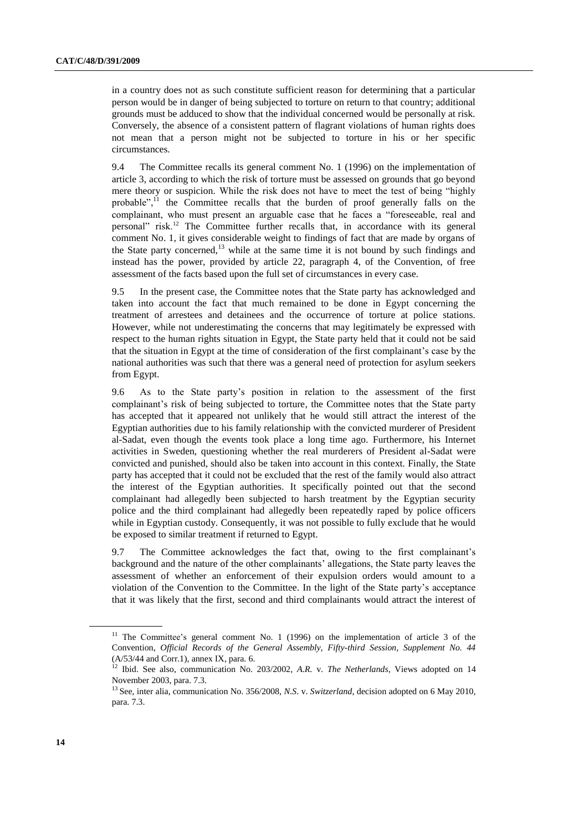in a country does not as such constitute sufficient reason for determining that a particular person would be in danger of being subjected to torture on return to that country; additional grounds must be adduced to show that the individual concerned would be personally at risk. Conversely, the absence of a consistent pattern of flagrant violations of human rights does not mean that a person might not be subjected to torture in his or her specific circumstances.

9.4 The Committee recalls its general comment No. 1 (1996) on the implementation of article 3, according to which the risk of torture must be assessed on grounds that go beyond mere theory or suspicion. While the risk does not have to meet the test of being "highly probable", $11$  the Committee recalls that the burden of proof generally falls on the complainant, who must present an arguable case that he faces a "foreseeable, real and personal" risk.<sup>12</sup> The Committee further recalls that, in accordance with its general comment No. 1, it gives considerable weight to findings of fact that are made by organs of the State party concerned, $13$  while at the same time it is not bound by such findings and instead has the power, provided by article 22, paragraph 4, of the Convention, of free assessment of the facts based upon the full set of circumstances in every case.

9.5 In the present case, the Committee notes that the State party has acknowledged and taken into account the fact that much remained to be done in Egypt concerning the treatment of arrestees and detainees and the occurrence of torture at police stations. However, while not underestimating the concerns that may legitimately be expressed with respect to the human rights situation in Egypt, the State party held that it could not be said that the situation in Egypt at the time of consideration of the first complainant's case by the national authorities was such that there was a general need of protection for asylum seekers from Egypt.

9.6 As to the State party's position in relation to the assessment of the first complainant's risk of being subjected to torture, the Committee notes that the State party has accepted that it appeared not unlikely that he would still attract the interest of the Egyptian authorities due to his family relationship with the convicted murderer of President al-Sadat, even though the events took place a long time ago. Furthermore, his Internet activities in Sweden, questioning whether the real murderers of President al-Sadat were convicted and punished, should also be taken into account in this context. Finally, the State party has accepted that it could not be excluded that the rest of the family would also attract the interest of the Egyptian authorities. It specifically pointed out that the second complainant had allegedly been subjected to harsh treatment by the Egyptian security police and the third complainant had allegedly been repeatedly raped by police officers while in Egyptian custody. Consequently, it was not possible to fully exclude that he would be exposed to similar treatment if returned to Egypt.

9.7 The Committee acknowledges the fact that, owing to the first complainant's background and the nature of the other complainants' allegations, the State party leaves the assessment of whether an enforcement of their expulsion orders would amount to a violation of the Convention to the Committee. In the light of the State party's acceptance that it was likely that the first, second and third complainants would attract the interest of

 $11$  The Committee's general comment No. 1 (1996) on the implementation of article 3 of the Convention, *Official Records of the General Assembly, Fifty-third Session, Supplement No. 44*  (A/53/44 and Corr.1), annex IX, para. 6.

<sup>12</sup> Ibid. See also, communication No. 203/2002, *A.R.* v. *The Netherlands*, Views adopted on 14 November 2003, para. 7.3.

<sup>13</sup> See, inter alia, communication No. 356/2008, *N.S*. v. *Switzerland*, decision adopted on 6 May 2010, para. 7.3.